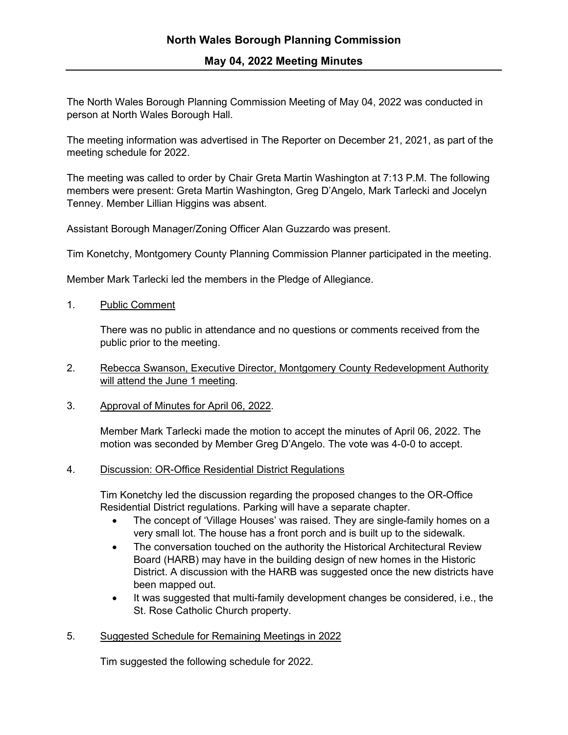The North Wales Borough Planning Commission Meeting of May 04, 2022 was conducted in person at North Wales Borough Hall.

The meeting information was advertised in The Reporter on December 21, 2021, as part of the meeting schedule for 2022.

The meeting was called to order by Chair Greta Martin Washington at 7:13 P.M. The following members were present: Greta Martin Washington, Greg D'Angelo, Mark Tarlecki and Jocelyn Tenney. Member Lillian Higgins was absent.

Assistant Borough Manager/Zoning Officer Alan Guzzardo was present.

Tim Konetchy, Montgomery County Planning Commission Planner participated in the meeting.

Member Mark Tarlecki led the members in the Pledge of Allegiance.

1. Public Comment

There was no public in attendance and no questions or comments received from the public prior to the meeting.

- 2. Rebecca Swanson, Executive Director, Montgomery County Redevelopment Authority will attend the June 1 meeting.
- 3. Approval of Minutes for April 06, 2022.

Member Mark Tarlecki made the motion to accept the minutes of April 06, 2022. The motion was seconded by Member Greg D'Angelo. The vote was 4-0-0 to accept.

4. Discussion: OR-Office Residential District Regulations

Tim Konetchy led the discussion regarding the proposed changes to the OR-Office Residential District regulations. Parking will have a separate chapter.

- The concept of 'Village Houses' was raised. They are single-family homes on a very small lot. The house has a front porch and is built up to the sidewalk.
- The conversation touched on the authority the Historical Architectural Review Board (HARB) may have in the building design of new homes in the Historic District. A discussion with the HARB was suggested once the new districts have been mapped out.
- It was suggested that multi-family development changes be considered, i.e., the St. Rose Catholic Church property.

## 5. Suggested Schedule for Remaining Meetings in 2022

Tim suggested the following schedule for 2022.